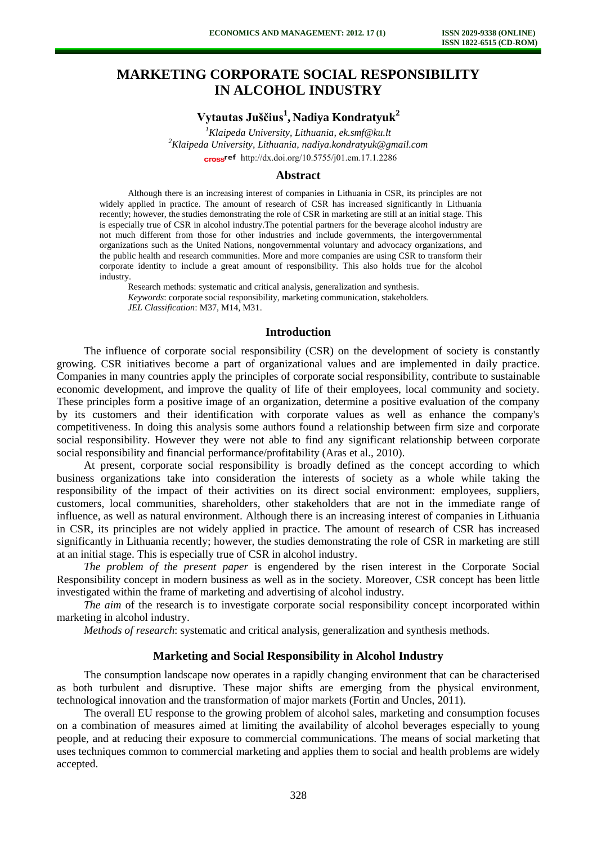# **MARKETING CORPORATE SOCIAL RESPONSIBILITY IN ALCOHOL INDUSTRY**

**Vytautas Juščius<sup>1</sup> , Nadiya Kondratyuk<sup>2</sup>**

*<sup>1</sup>Klaipeda University, Lithuania, ek.smf@ku.lt <sup>2</sup>Klaipeda University, Lithuania, nadiya.kondratyuk@gmail.com*  cross<sup>ref</sup> [http://dx.doi.org/10.5755/j01.e](http://dx.doi.org/10.5755/j01.em.17.1.2286)m.17.1.2286

## **Abstract**

Although there is an increasing interest of companies in Lithuania in CSR, its principles are not widely applied in practice. The amount of research of CSR has increased significantly in Lithuania recently; however, the studies demonstrating the role of CSR in marketing are still at an initial stage. This is especially true of CSR in alcohol industry.The potential partners for the beverage alcohol industry are not much different from those for other industries and include governments, the intergovernmental organizations such as the United Nations, nongovernmental voluntary and advocacy organizations, and the public health and research communities. More and more companies are using CSR to transform their corporate identity to include a great amount of responsibility. This also holds true for the alcohol industry.

Research methods: systematic and critical analysis, generalization and synthesis. *Keywords*: corporate social responsibility, marketing communication, stakeholders. *JEL Classification*: M37, M14, M31.

#### **Introduction**

The influence of corporate social responsibility (CSR) on the development of society is constantly growing. CSR initiatives become a part of organizational values and are implemented in daily practice. Companies in many countries apply the principles of corporate social responsibility, contribute to sustainable economic development, and improve the quality of life of their employees, local community and society. These principles form a positive image of an organization, determine a positive evaluation of the company by its customers and their identification with corporate values as well as enhance the company's competitiveness. In doing this analysis some authors found a relationship between firm size and corporate social responsibility. However they were not able to find any significant relationship between corporate social responsibility and financial performance/profitability (Aras et al., 2010).

At present, corporate social responsibility is broadly defined as the concept according to which business organizations take into consideration the interests of society as a whole while taking the responsibility of the impact of their activities on its direct social environment: employees, suppliers, customers, local communities, shareholders, other stakeholders that are not in the immediate range of influence, as well as natural environment. Although there is an increasing interest of companies in Lithuania in CSR, its principles are not widely applied in practice. The amount of research of CSR has increased significantly in Lithuania recently; however, the studies demonstrating the role of CSR in marketing are still at an initial stage. This is especially true of CSR in alcohol industry.

*The problem of the present paper* is engendered by the risen interest in the Corporate Social Responsibility concept in modern business as well as in the society. Moreover, CSR concept has been little investigated within the frame of marketing and advertising of alcohol industry.

*The aim* of the research is to investigate corporate social responsibility concept incorporated within marketing in alcohol industry.

*Methods of research*: systematic and critical analysis, generalization and synthesis methods.

# **Marketing and Social Responsibility in Alcohol Industry**

The consumption landscape now operates in a rapidly changing environment that can be characterised as both turbulent and disruptive. These major shifts are emerging from the physical environment, technological innovation and the transformation of major markets (Fortin and Uncles, 2011).

The overall EU response to the growing problem of alcohol sales, marketing and consumption focuses on a combination of measures aimed at limiting the availability of alcohol beverages especially to young people, and at reducing their exposure to commercial communications. The means of social marketing that uses techniques common to commercial marketing and applies them to social and health problems are widely accepted.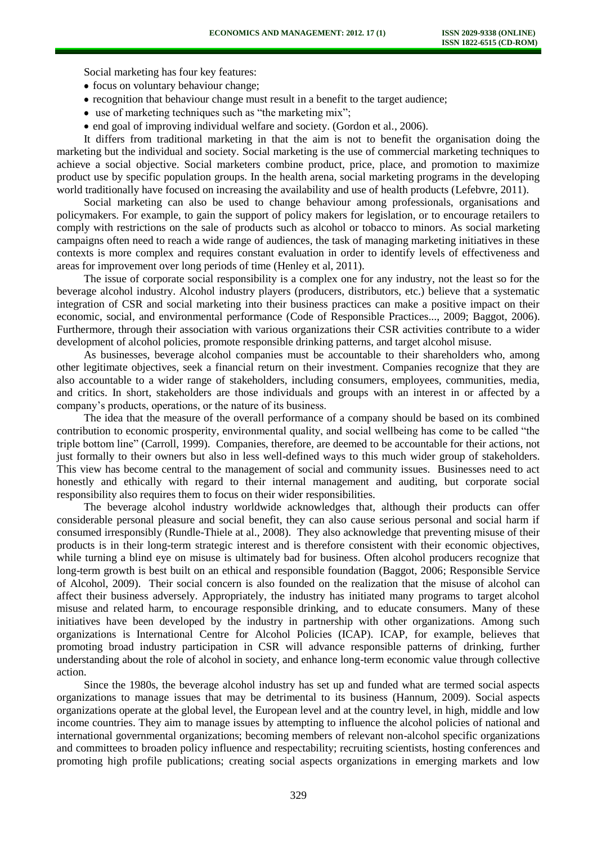Social marketing has four key features:

- focus on voluntary behaviour change;
- recognition that behaviour change must result in a benefit to the target audience;
- use of marketing techniques such as "the marketing mix";
- end goal of improving individual welfare and society. (Gordon et al., 2006).

It differs from traditional marketing in that the aim is not to benefit the organisation doing the marketing but the individual and society. Social marketing is the use of commercial marketing techniques to achieve a social objective. Social marketers combine product, price, place, and promotion to maximize product use by specific population groups. In the health arena, social marketing programs in the developing world traditionally have focused on increasing the availability and use of health products (Lefebvre, 2011).

Social marketing can also be used to change behaviour among professionals, organisations and policymakers. For example, to gain the support of policy makers for legislation, or to encourage retailers to comply with restrictions on the sale of products such as alcohol or tobacco to minors. As social marketing campaigns often need to reach a wide range of audiences, the task of managing marketing initiatives in these contexts is more complex and requires constant evaluation in order to identify levels of effectiveness and areas for improvement over long periods of time (Henley et al, 2011).

The issue of corporate social responsibility is a complex one for any industry, not the least so for the beverage alcohol industry. Alcohol industry players (producers, distributors, etc.) believe that a systematic integration of CSR and social marketing into their business practices can make a positive impact on their economic, social, and environmental performance (Code of Responsible Practices..., 2009; Baggot, 2006). Furthermore, through their association with various organizations their CSR activities contribute to a wider development of alcohol policies, promote responsible drinking patterns, and target alcohol misuse.

As businesses, beverage alcohol companies must be accountable to their shareholders who, among other legitimate objectives, seek a financial return on their investment. Companies recognize that they are also accountable to a wider range of stakeholders, including consumers, employees, communities, media, and critics. In short, stakeholders are those individuals and groups with an interest in or affected by a company's products, operations, or the nature of its business.

The idea that the measure of the overall performance of a company should be based on its combined contribution to economic prosperity, environmental quality, and social wellbeing has come to be called "the triple bottom line" (Carroll, 1999). Companies, therefore, are deemed to be accountable for their actions, not just formally to their owners but also in less well-defined ways to this much wider group of stakeholders. This view has become central to the management of social and community issues. Businesses need to act honestly and ethically with regard to their internal management and auditing, but corporate social responsibility also requires them to focus on their wider responsibilities.

The beverage alcohol industry worldwide acknowledges that, although their products can offer considerable personal pleasure and social benefit, they can also cause serious personal and social harm if consumed irresponsibly (Rundle-Thiele at al., 2008). They also acknowledge that preventing misuse of their products is in their long-term strategic interest and is therefore consistent with their economic objectives, while turning a blind eye on misuse is ultimately bad for business. Often alcohol producers recognize that long-term growth is best built on an ethical and responsible foundation (Baggot, 2006; Responsible Service of Alcohol, 2009). Their social concern is also founded on the realization that the misuse of alcohol can affect their business adversely. Appropriately, the industry has initiated many programs to target alcohol misuse and related harm, to encourage responsible drinking, and to educate consumers. Many of these initiatives have been developed by the industry in partnership with other organizations. Among such organizations is International Centre for Alcohol Policies (ICAP). ICAP, for example, believes that promoting broad industry participation in CSR will advance responsible patterns of drinking, further understanding about the role of alcohol in society, and enhance long-term economic value through collective action.

Since the 1980s, the beverage alcohol industry has set up and funded what are termed social aspects organizations to manage issues that may be detrimental to its business (Hannum, 2009). Social aspects organizations operate at the global level, the European level and at the country level, in high, middle and low income countries. They aim to manage issues by attempting to influence the alcohol policies of national and international governmental organizations; becoming members of relevant non-alcohol specific organizations and committees to broaden policy influence and respectability; recruiting scientists, hosting conferences and promoting high profile publications; creating social aspects organizations in emerging markets and low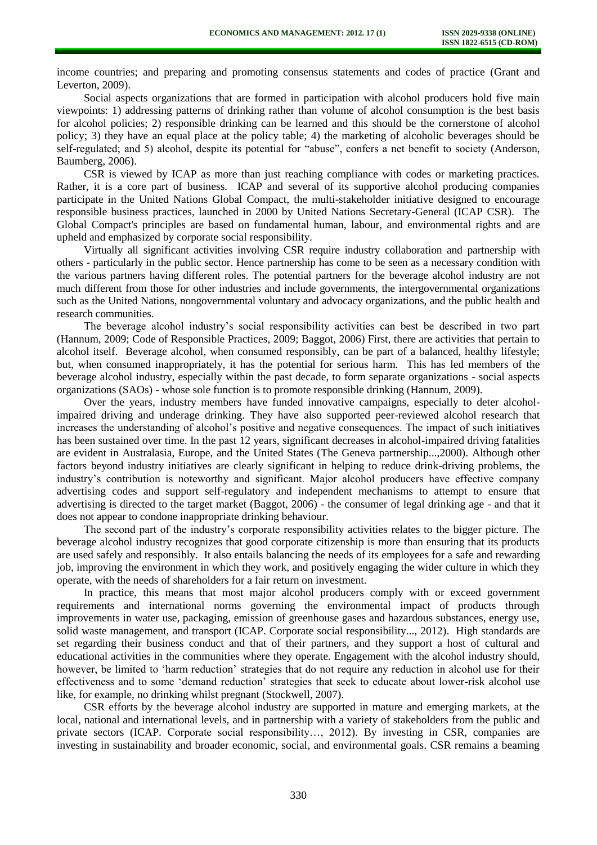income countries; and preparing and promoting consensus statements and codes of practice (Grant and Leverton, 2009).

Social aspects organizations that are formed in participation with alcohol producers hold five main viewpoints: 1) addressing patterns of drinking rather than volume of alcohol consumption is the best basis for alcohol policies; 2) responsible drinking can be learned and this should be the cornerstone of alcohol policy; 3) they have an equal place at the policy table; 4) the marketing of alcoholic beverages should be self-regulated; and 5) alcohol, despite its potential for "abuse", confers a net benefit to society (Anderson, Baumberg, 2006).

CSR is viewed by ICAP as more than just reaching compliance with codes or marketing practices. Rather, it is a core part of business. ICAP and several of its supportive alcohol producing companies participate in the United Nations Global Compact, the multi-stakeholder initiative designed to encourage responsible business practices, launched in 2000 by United Nations Secretary-General (ICAP CSR). The Global Compact's principles are based on fundamental human, labour, and environmental rights and are upheld and emphasized by corporate social responsibility.

Virtually all significant activities involving CSR require industry collaboration and partnership with others - particularly in the public sector. Hence partnership has come to be seen as a necessary condition with the various partners having different roles. The potential partners for the beverage alcohol industry are not much different from those for other industries and include governments, the intergovernmental organizations such as the United Nations, nongovernmental voluntary and advocacy organizations, and the public health and research communities.

The beverage alcohol industry's social responsibility activities can best be described in two part (Hannum, 2009; Code of Responsible Practices, 2009; Baggot, 2006) First, there are activities that pertain to alcohol itself. Beverage alcohol, when consumed responsibly, can be part of a balanced, healthy lifestyle; but, when consumed inappropriately, it has the potential for serious harm. This has led members of the beverage alcohol industry, especially within the past decade, to form separate organizations - social aspects organizations (SAOs) - whose sole function is to promote responsible drinking (Hannum, 2009).

Over the years, industry members have funded innovative campaigns, especially to deter alcoholimpaired driving and underage drinking. They have also supported peer-reviewed alcohol research that increases the understanding of alcohol's positive and negative consequences. The impact of such initiatives has been sustained over time. In the past 12 years, significant decreases in alcohol-impaired driving fatalities are evident in Australasia, Europe, and the United States (The Geneva partnership...,2000). Although other factors beyond industry initiatives are clearly significant in helping to reduce drink-driving problems, the industry's contribution is noteworthy and significant. Major alcohol producers have effective company advertising codes and support self-regulatory and independent mechanisms to attempt to ensure that advertising is directed to the target market (Baggot, 2006) - the consumer of legal drinking age - and that it does not appear to condone inappropriate drinking behaviour.

The second part of the industry's corporate responsibility activities relates to the bigger picture. The beverage alcohol industry recognizes that good corporate citizenship is more than ensuring that its products are used safely and responsibly. It also entails balancing the needs of its employees for a safe and rewarding job, improving the environment in which they work, and positively engaging the wider culture in which they operate, with the needs of shareholders for a fair return on investment.

In practice, this means that most major alcohol producers comply with or exceed government requirements and international norms governing the environmental impact of products through improvements in water use, packaging, emission of greenhouse gases and hazardous substances, energy use, solid waste management, and transport (ICAP. Corporate social responsibility..., 2012). High standards are set regarding their business conduct and that of their partners, and they support a host of cultural and educational activities in the communities where they operate. Engagement with the alcohol industry should, however, be limited to 'harm reduction' strategies that do not require any reduction in alcohol use for their effectiveness and to some 'demand reduction' strategies that seek to educate about lower-risk alcohol use like, for example, no drinking whilst pregnant (Stockwell, 2007).

CSR efforts by the beverage alcohol industry are supported in mature and emerging markets, at the local, national and international levels, and in partnership with a variety of stakeholders from the public and private sectors (ICAP. Corporate social responsibility…, 2012). By investing in CSR, companies are investing in sustainability and broader economic, social, and environmental goals. CSR remains a beaming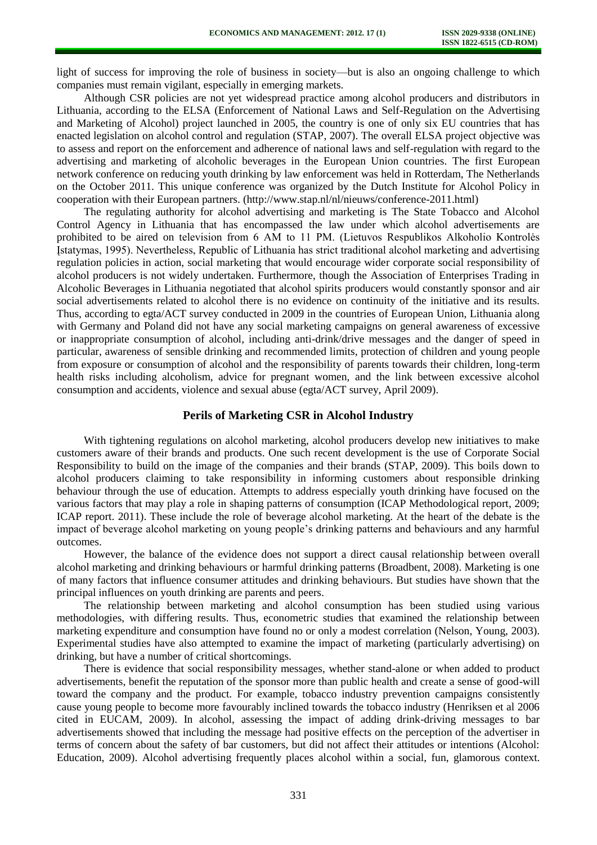light of success for improving the role of business in society—but is also an ongoing challenge to which companies must remain vigilant, especially in emerging markets.

Although CSR policies are not yet widespread practice among alcohol producers and distributors in Lithuania, according to the ELSA (Enforcement of National Laws and Self-Regulation on the Advertising and Marketing of Alcohol) project launched in 2005, the country is one of only six EU countries that has enacted legislation on alcohol control and regulation (STAP, 2007). The overall ELSA project objective was to assess and report on the enforcement and adherence of national laws and self-regulation with regard to the advertising and marketing of alcoholic beverages in the European Union countries. The first European network conference on reducing youth drinking by law enforcement was held in Rotterdam, The Netherlands on the October 2011. This unique conference was organized by the Dutch Institute for Alcohol Policy in cooperation with their European partners. (http://www.stap.nl/nl/nieuws/conference-2011.html)

The regulating authority for alcohol advertising and marketing is The State Tobacco and Alcohol Control Agency in Lithuania that has encompassed the law under which alcohol advertisements are prohibited to be aired on television from 6 AM to 11 PM. (Lietuvos Respublikos Alkoholio Kontrolės Įstatymas, 1995). Nevertheless, Republic of Lithuania has strict traditional alcohol marketing and advertising regulation policies in action, social marketing that would encourage wider corporate social responsibility of alcohol producers is not widely undertaken. Furthermore, though the Association of Enterprises Trading in Alcoholic Beverages in Lithuania negotiated that alcohol spirits producers would constantly sponsor and air social advertisements related to alcohol there is no evidence on continuity of the initiative and its results. Thus, according to egta/ACT survey conducted in 2009 in the countries of European Union, Lithuania along with Germany and Poland did not have any social marketing campaigns on general awareness of excessive or inappropriate consumption of alcohol, including anti-drink/drive messages and the danger of speed in particular, awareness of sensible drinking and recommended limits, protection of children and young people from exposure or consumption of alcohol and the responsibility of parents towards their children, long-term health risks including alcoholism, advice for pregnant women, and the link between excessive alcohol consumption and accidents, violence and sexual abuse (egta/ACT survey, April 2009).

## **Perils of Marketing CSR in Alcohol Industry**

With tightening regulations on alcohol marketing, alcohol producers develop new initiatives to make customers aware of their brands and products. One such recent development is the use of Corporate Social Responsibility to build on the image of the companies and their brands (STAP, 2009). This boils down to alcohol producers claiming to take responsibility in informing customers about responsible drinking behaviour through the use of education. Attempts to address especially youth drinking have focused on the various factors that may play a role in shaping patterns of consumption (ICAP Methodological report, 2009; ICAP report. 2011). These include the role of beverage alcohol marketing. At the heart of the debate is the impact of beverage alcohol marketing on young people's drinking patterns and behaviours and any harmful outcomes.

However, the balance of the evidence does not support a direct causal relationship between overall alcohol marketing and drinking behaviours or harmful drinking patterns (Broadbent, 2008). Marketing is one of many factors that influence consumer attitudes and drinking behaviours. But studies have shown that the principal influences on youth drinking are parents and peers.

The relationship between marketing and alcohol consumption has been studied using various methodologies, with differing results. Thus, econometric studies that examined the relationship between marketing expenditure and consumption have found no or only a modest correlation (Nelson, Young, 2003). Experimental studies have also attempted to examine the impact of marketing (particularly advertising) on drinking, but have a number of critical shortcomings.

There is evidence that social responsibility messages, whether stand-alone or when added to product advertisements, benefit the reputation of the sponsor more than public health and create a sense of good-will toward the company and the product. For example, tobacco industry prevention campaigns consistently cause young people to become more favourably inclined towards the tobacco industry (Henriksen et al 2006 cited in EUCAM, 2009). In alcohol, assessing the impact of adding drink-driving messages to bar advertisements showed that including the message had positive effects on the perception of the advertiser in terms of concern about the safety of bar customers, but did not affect their attitudes or intentions (Alcohol: Education, 2009). Alcohol advertising frequently places alcohol within a social, fun, glamorous context.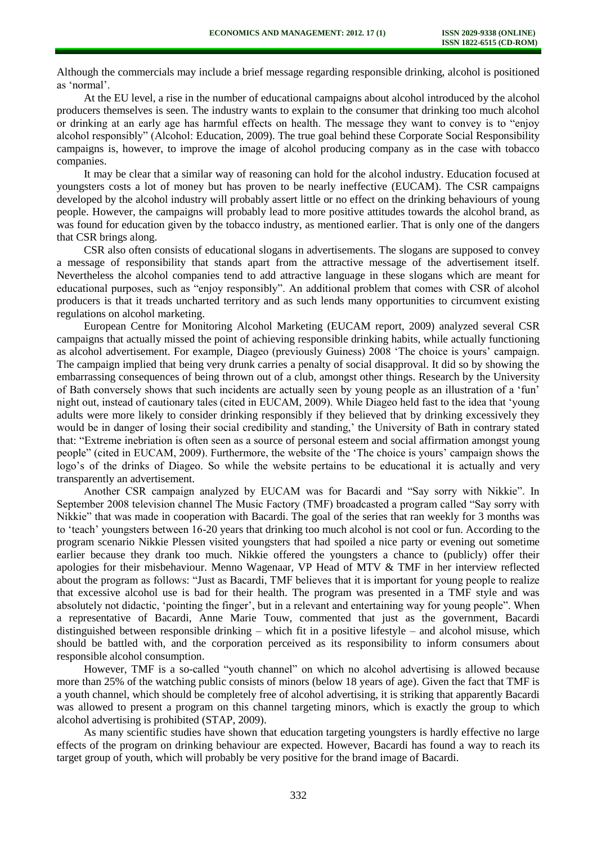Although the commercials may include a brief message regarding responsible drinking, alcohol is positioned as 'normal'.

At the EU level, a rise in the number of educational campaigns about alcohol introduced by the alcohol producers themselves is seen. The industry wants to explain to the consumer that drinking too much alcohol or drinking at an early age has harmful effects on health. The message they want to convey is to "enjoy alcohol responsibly" (Alcohol: Education, 2009). The true goal behind these Corporate Social Responsibility campaigns is, however, to improve the image of alcohol producing company as in the case with tobacco companies.

It may be clear that a similar way of reasoning can hold for the alcohol industry. Education focused at youngsters costs a lot of money but has proven to be nearly ineffective (EUCAM). The CSR campaigns developed by the alcohol industry will probably assert little or no effect on the drinking behaviours of young people. However, the campaigns will probably lead to more positive attitudes towards the alcohol brand, as was found for education given by the tobacco industry, as mentioned earlier. That is only one of the dangers that CSR brings along.

CSR also often consists of educational slogans in advertisements. The slogans are supposed to convey a message of responsibility that stands apart from the attractive message of the advertisement itself. Nevertheless the alcohol companies tend to add attractive language in these slogans which are meant for educational purposes, such as "enjoy responsibly". An additional problem that comes with CSR of alcohol producers is that it treads uncharted territory and as such lends many opportunities to circumvent existing regulations on alcohol marketing.

European Centre for Monitoring Alcohol Marketing (EUCAM report, 2009) analyzed several CSR campaigns that actually missed the point of achieving responsible drinking habits, while actually functioning as alcohol advertisement. For example, Diageo (previously Guiness) 2008 'The choice is yours' campaign. The campaign implied that being very drunk carries a penalty of social disapproval. It did so by showing the embarrassing consequences of being thrown out of a club, amongst other things. Research by the University of Bath conversely shows that such incidents are actually seen by young people as an illustration of a 'fun' night out, instead of cautionary tales (cited in EUCAM, 2009). While Diageo held fast to the idea that 'young adults were more likely to consider drinking responsibly if they believed that by drinking excessively they would be in danger of losing their social credibility and standing,' the University of Bath in contrary stated that: "Extreme inebriation is often seen as a source of personal esteem and social affirmation amongst young people" (cited in EUCAM, 2009). Furthermore, the website of the 'The choice is yours' campaign shows the logo's of the drinks of Diageo. So while the website pertains to be educational it is actually and very transparently an advertisement.

Another CSR campaign analyzed by EUCAM was for Bacardi and "Say sorry with Nikkie". In September 2008 television channel The Music Factory (TMF) broadcasted a program called "Say sorry with Nikkie" that was made in cooperation with Bacardi. The goal of the series that ran weekly for 3 months was to 'teach' youngsters between 16-20 years that drinking too much alcohol is not cool or fun. According to the program scenario Nikkie Plessen visited youngsters that had spoiled a nice party or evening out sometime earlier because they drank too much. Nikkie offered the youngsters a chance to (publicly) offer their apologies for their misbehaviour. Menno Wagenaar, VP Head of MTV & TMF in her interview reflected about the program as follows: "Just as Bacardi, TMF believes that it is important for young people to realize that excessive alcohol use is bad for their health. The program was presented in a TMF style and was absolutely not didactic, 'pointing the finger', but in a relevant and entertaining way for young people". When a representative of Bacardi, Anne Marie Touw, commented that just as the government, Bacardi distinguished between responsible drinking – which fit in a positive lifestyle – and alcohol misuse, which should be battled with, and the corporation perceived as its responsibility to inform consumers about responsible alcohol consumption.

However, TMF is a so-called "youth channel" on which no alcohol advertising is allowed because more than 25% of the watching public consists of minors (below 18 years of age). Given the fact that TMF is a youth channel, which should be completely free of alcohol advertising, it is striking that apparently Bacardi was allowed to present a program on this channel targeting minors, which is exactly the group to which alcohol advertising is prohibited (STAP, 2009).

As many scientific studies have shown that education targeting youngsters is hardly effective no large effects of the program on drinking behaviour are expected. However, Bacardi has found a way to reach its target group of youth, which will probably be very positive for the brand image of Bacardi.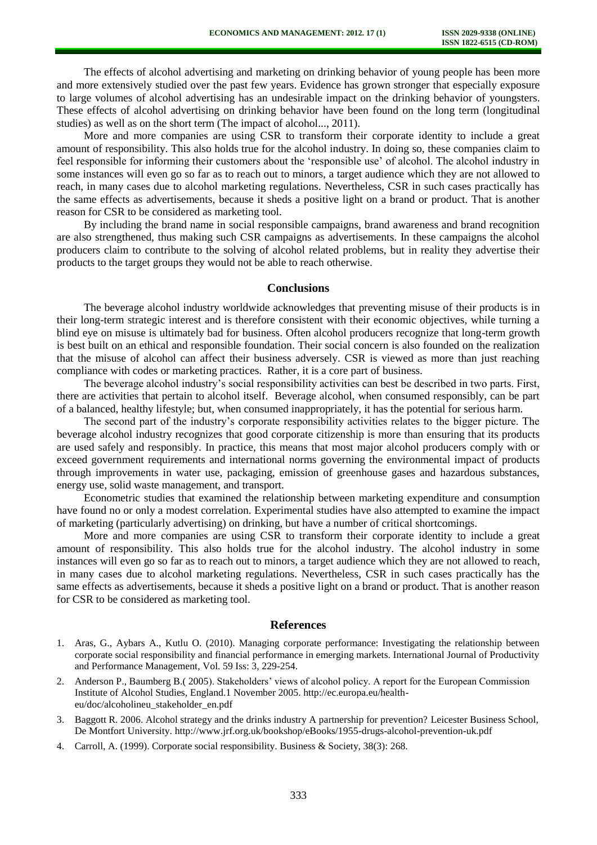The effects of alcohol advertising and marketing on drinking behavior of young people has been more and more extensively studied over the past few years. Evidence has grown stronger that especially exposure to large volumes of alcohol advertising has an undesirable impact on the drinking behavior of youngsters. These effects of alcohol advertising on drinking behavior have been found on the long term (longitudinal studies) as well as on the short term (The impact of alcohol..., 2011).

More and more companies are using CSR to transform their corporate identity to include a great amount of responsibility. This also holds true for the alcohol industry. In doing so, these companies claim to feel responsible for informing their customers about the 'responsible use' of alcohol. The alcohol industry in some instances will even go so far as to reach out to minors, a target audience which they are not allowed to reach, in many cases due to alcohol marketing regulations. Nevertheless, CSR in such cases practically has the same effects as advertisements, because it sheds a positive light on a brand or product. That is another reason for CSR to be considered as marketing tool.

By including the brand name in social responsible campaigns, brand awareness and brand recognition are also strengthened, thus making such CSR campaigns as advertisements. In these campaigns the alcohol producers claim to contribute to the solving of alcohol related problems, but in reality they advertise their products to the target groups they would not be able to reach otherwise.

### **Conclusions**

The beverage alcohol industry worldwide acknowledges that preventing misuse of their products is in their long-term strategic interest and is therefore consistent with their economic objectives, while turning a blind eye on misuse is ultimately bad for business. Often alcohol producers recognize that long-term growth is best built on an ethical and responsible foundation. Their social concern is also founded on the realization that the misuse of alcohol can affect their business adversely. CSR is viewed as more than just reaching compliance with codes or marketing practices. Rather, it is a core part of business.

The beverage alcohol industry's social responsibility activities can best be described in two parts. First, there are activities that pertain to alcohol itself. Beverage alcohol, when consumed responsibly, can be part of a balanced, healthy lifestyle; but, when consumed inappropriately, it has the potential for serious harm.

The second part of the industry's corporate responsibility activities relates to the bigger picture. The beverage alcohol industry recognizes that good corporate citizenship is more than ensuring that its products are used safely and responsibly. In practice, this means that most major alcohol producers comply with or exceed government requirements and international norms governing the environmental impact of products through improvements in water use, packaging, emission of greenhouse gases and hazardous substances, energy use, solid waste management, and transport.

Econometric studies that examined the relationship between marketing expenditure and consumption have found no or only a modest correlation. Experimental studies have also attempted to examine the impact of marketing (particularly advertising) on drinking, but have a number of critical shortcomings.

More and more companies are using CSR to transform their corporate identity to include a great amount of responsibility. This also holds true for the alcohol industry. The alcohol industry in some instances will even go so far as to reach out to minors, a target audience which they are not allowed to reach, in many cases due to alcohol marketing regulations. Nevertheless, CSR in such cases practically has the same effects as advertisements, because it sheds a positive light on a brand or product. That is another reason for CSR to be considered as marketing tool.

#### **References**

- 1. Aras, G., Aybars A., Kutlu O. (2010). Managing corporate performance: Investigating the relationship between corporate social responsibility and financial performance in emerging markets. International Journal of Productivity and Performance Management, Vol. 59 Iss: 3, 229-254.
- 2. Anderson P., Baumberg B.( 2005). Stakeholders' views of alcohol policy. A report for the European Commission Institute of Alcohol Studies, England.1 November 2005. http://ec.europa.eu/healtheu/doc/alcoholineu\_stakeholder\_en.pdf
- 3. Baggott R. 2006. Alcohol strategy and the drinks industry A partnership for prevention? Leicester Business School, De Montfort University.<http://www.jrf.org.uk/bookshop/eBooks/1955-drugs-alcohol-prevention-uk.pdf>
- 4. Carroll, A. (1999). Corporate social responsibility. Business & Society, 38(3): 268.